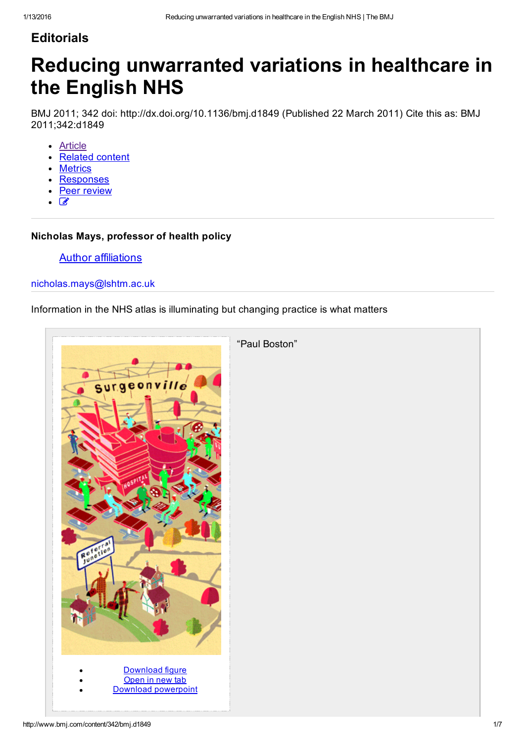### **Editorials**

# Reducing unwarranted variations in healthcare in the English NHS

BMJ 2011; 342 doi: http://dx.doi.org/10.1136/bmj.d1849 (Published 22 March 2011) Cite this as: BMJ 2011;342:d1849

- [Article](http://www.bmj.com/content/342/bmj.d1849)
- [Related](http://www.bmj.com/content/342/bmj.d1849/related) content
- **[Metrics](http://www.bmj.com/content/342/bmj.d1849/article-info)**
- [Responses](http://www.bmj.com/content/342/bmj.d1849/rapid-responses)
- Peer [review](http://www.bmj.com/content/342/bmj.d1849/peer-review)
- $\sqrt{2}$

#### Nicholas Mays, professor of health policy

#### **Author affiliations**

#### [nicholas.mays@lshtm.ac.uk](mailto:nicholas.mays@lshtm.ac.uk)

#### Information in the NHS atlas is illuminating but changing practice is what matters

| Surgeonville<br>9ه.<br>Referior                           | "Paul Boston" |
|-----------------------------------------------------------|---------------|
| Download figure<br>Open in new tab<br>Download powerpoint |               |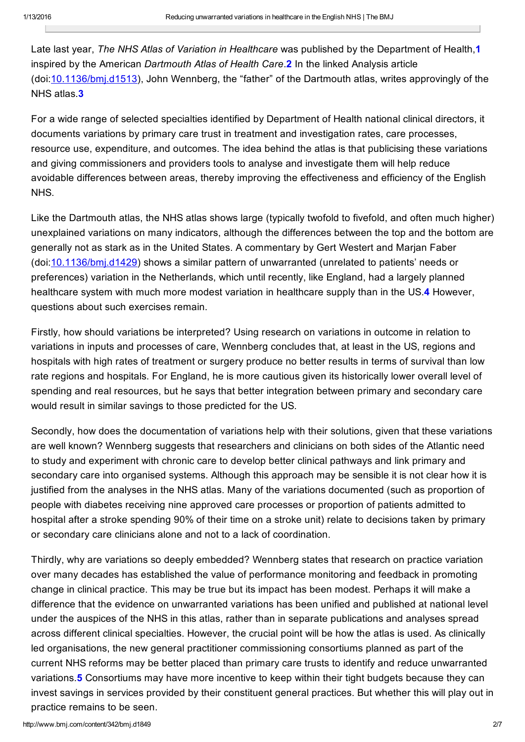Late last year, *The NHS Atlas of Variation in Healthcare* was published by the Department of Health,1 inspired by the American *Dartmouth Atlas of Health Care*.2 In the linked Analysis article (doi:[10.1136/bmj.d1513\)](http://www.bmj.com/lookup/doi/10.1136/bmj.d1513), John Wennberg, the "father" of the Dartmouth atlas, writes approvingly of the NHS atlas.3

For a wide range of selected specialties identified by Department of Health national clinical directors, it documents variations by primary care trust in treatment and investigation rates, care processes, resource use, expenditure, and outcomes. The idea behind the atlas is that publicising these variations and giving commissioners and providers tools to analyse and investigate them will help reduce avoidable differences between areas, thereby improving the effectiveness and efficiency of the English NHS.

Like the Dartmouth atlas, the NHS atlas shows large (typically twofold to fivefold, and often much higher) unexplained variations on many indicators, although the differences between the top and the bottom are generally not as stark as in the United States. A commentary by Gert Westert and Marjan Faber (doi:[10.1136/bmj.d1429\)](http://www.bmj.com/lookup/doi/10.1136/bmj.d1429) shows a similar pattern of unwarranted (unrelated to patients' needs or preferences) variation in the Netherlands, which until recently, like England, had a largely planned healthcare system with much more modest variation in healthcare supply than in the US.4 However, questions about such exercises remain.

Firstly, how should variations be interpreted? Using research on variations in outcome in relation to variations in inputs and processes of care, Wennberg concludes that, at least in the US, regions and hospitals with high rates of treatment or surgery produce no better results in terms of survival than low rate regions and hospitals. For England, he is more cautious given its historically lower overall level of spending and real resources, but he says that better integration between primary and secondary care would result in similar savings to those predicted for the US.

Secondly, how does the documentation of variations help with their solutions, given that these variations are well known? Wennberg suggests that researchers and clinicians on both sides of the Atlantic need to study and experiment with chronic care to develop better clinical pathways and link primary and secondary care into organised systems. Although this approach may be sensible it is not clear how it is justified from the analyses in the NHS atlas. Many of the variations documented (such as proportion of people with diabetes receiving nine approved care processes or proportion of patients admitted to hospital after a stroke spending 90% of their time on a stroke unit) relate to decisions taken by primary or secondary care clinicians alone and not to a lack of coordination.

<span id="page-1-0"></span>Thirdly, why are variations so deeply embedded? Wennberg states that research on practice variation over many decades has established the value of performance monitoring and feedback in promoting change in clinical practice. This may be true but its impact has been modest. Perhaps it will make a difference that the evidence on unwarranted variations has been unified and published at national level under the auspices of the NHS in this atlas, rather than in separate publications and analyses spread across different clinical specialties. However, the crucial point will be how the atlas is used. As clinically led organisations, the new general practitioner commissioning consortiums planned as part of the current NHS reforms may be better placed than primary care trusts to identify and reduce unwarranted variations.5 Consortiums may have more incentive to keep within their tight budgets because they can invest savings in services provided by their constituent general practices. But whether this will play out in practice remains to be seen.